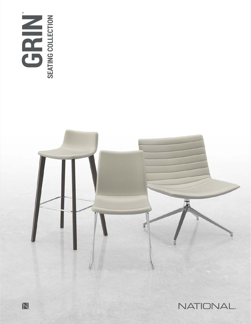



## **NATIONAL**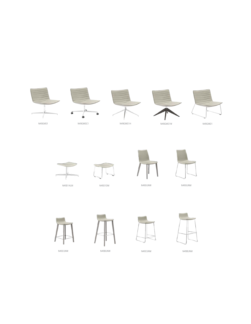



N49D14LM N49D1DM N49GUNW N49GUNM











N49CUNW N49BUNW N49CUNM N49BUNM



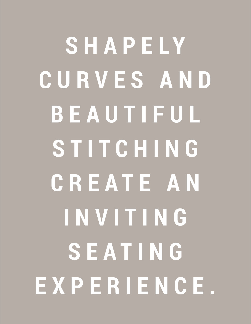**S H A P E L Y C U R V E S A N D B E A U T I F U L S T I T C H I N G C R E A T E A N I N V I T I N G S E A T I N G EXPERIENCE.**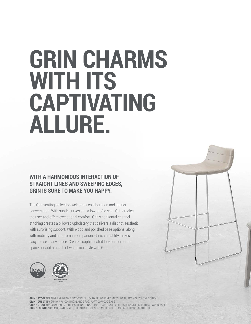## **GRIN CHARMS WITH ITS CAPTIVATING ALLURE.**

## **WITH A HARMONIOUS INTERACTION OF STRAIGHT LINES AND SWEEPING EDGES, GRIN IS SURE TO MAKE YOU HAPPY.**

The Grin seating collection welcomes collaboration and sparks conversation. With subtle curves and a low-profile seat, Grin cradles the user and offers exceptional comfort. Grin's horizontal channel stitching creates a pillowed upholstery that delivers a distinct aesthetic with surprising support. With wood and polished base options, along with mobility and an ottoman companion, Grin's versatility makes it easy to use in any space. Create a sophisticated look for corporate spaces or add a punch of whimsical style with Grin.



**GRIN**™ **STOOL** N49BUM, BAR HEIGHT, NATIONAL SILICA HAZE, POLISHED METAL BASE, 2½" HORIZONTAL STITCH **GRIN**™ **GUEST** N49GUNW, ARC-COM HIGHLANDS FOG, PORTICO WOOD BASE **GRIN**™ **STOOL** N49CUWX, COUNTER HEIGHT, NATIONAL PLUSH SABLE, ARC-COM HIGHLANDS FOG, PORTICO WOOD BASE **GRIN**™ **LOUNGE** N49GMDI, NATIONAL PLUSH SABLE, POLISHED METAL SLED BASE, 6" HORIZONTAL STITCH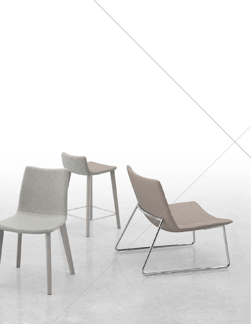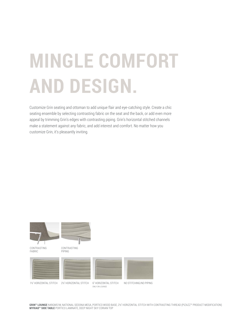## **MINGLE COMFORT AND DESIGN.**

Customize Grin seating and ottoman to add unique flair and eye-catching style. Create a chic seating ensemble by selecting contrasting fabric on the seat and the back, or add even more appeal by trimming Grin's edges with contrasting piping. Grin's horizontal stitched channels make a statement against any fabric, and add interest and comfort. No matter how you customize Grin, it's pleasantly inviting.



**GRIN™ LOUNGE** N49GMS1W, NATIONAL SEDONA MESA, PORTICO WOOD BASE, 2½" HORIZONTAL STITCH WITH CONTRASTING THREAD (PIZAZZ™ PRODUCT MODIFICATION) **MYRIAD™ SIDE TABLE** PORTICO LAMINATE, DEEP NIGHT SKY CORIAN TOP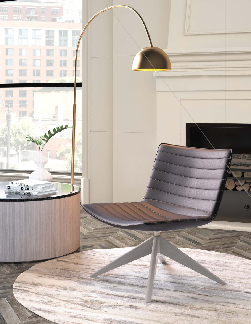